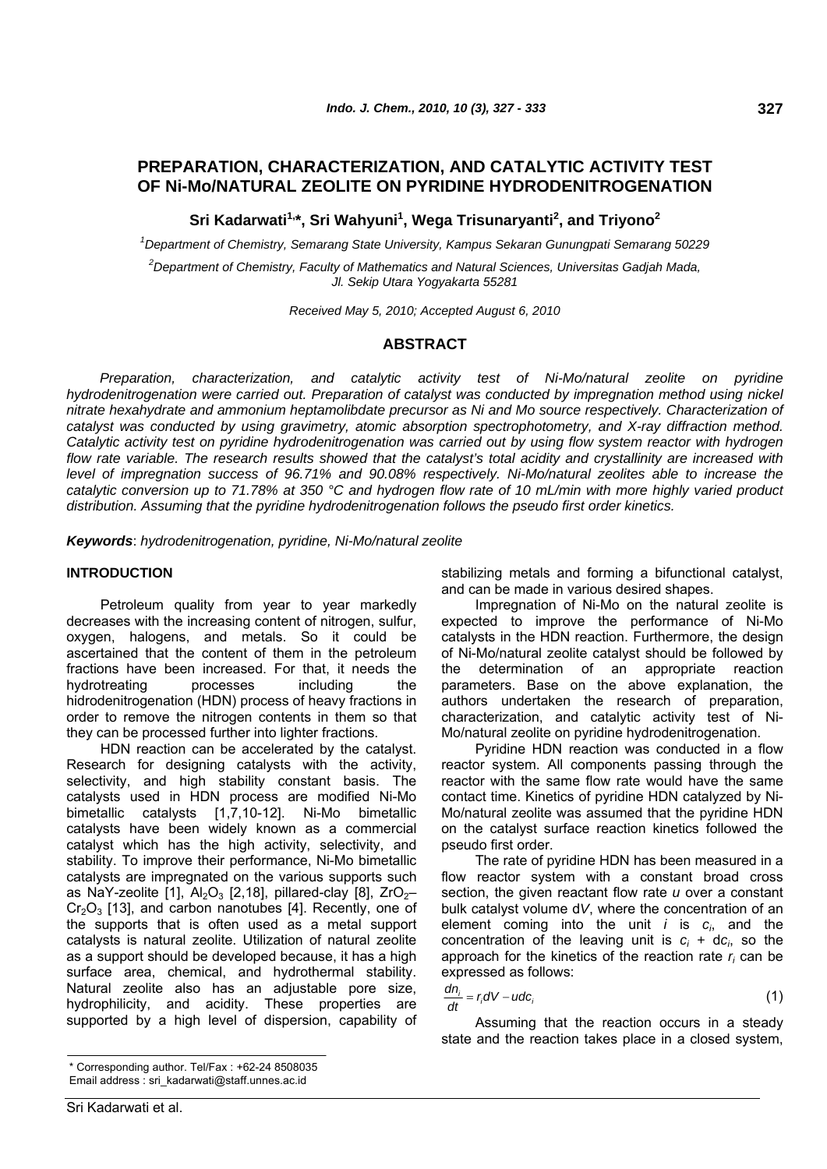# **PREPARATION, CHARACTERIZATION, AND CATALYTIC ACTIVITY TEST OF Ni-Mo/NATURAL ZEOLITE ON PYRIDINE HYDRODENITROGENATION**

**Sri Kadarwati<sup>1,\*</sup>, Sri Wahyuni<sup>1</sup>, Wega Trisunaryanti<sup>2</sup>, and Triyono<sup>2</sup>** 

*1 Department of Chemistry, Semarang State University, Kampus Sekaran Gunungpati Semarang 50229* 

*2 Department of Chemistry, Faculty of Mathematics and Natural Sciences, Universitas Gadjah Mada, Jl. Sekip Utara Yogyakarta 55281*

*Received May 5, 2010; Accepted August 6, 2010* 

# **ABSTRACT**

*Preparation, characterization, and catalytic activity test of Ni-Mo/natural zeolite on pyridine hydrodenitrogenation were carried out. Preparation of catalyst was conducted by impregnation method using nickel nitrate hexahydrate and ammonium heptamolibdate precursor as Ni and Mo source respectively. Characterization of catalyst was conducted by using gravimetry, atomic absorption spectrophotometry, and X-ray diffraction method. Catalytic activity test on pyridine hydrodenitrogenation was carried out by using flow system reactor with hydrogen flow rate variable. The research results showed that the catalyst's total acidity and crystallinity are increased with level of impregnation success of 96.71% and 90.08% respectively. Ni-Mo/natural zeolites able to increase the catalytic conversion up to 71.78% at 350 °C and hydrogen flow rate of 10 mL/min with more highly varied product distribution. Assuming that the pyridine hydrodenitrogenation follows the pseudo first order kinetics.* 

*Keywords*: *hydrodenitrogenation, pyridine, Ni-Mo/natural zeolite*

#### **INTRODUCTION**

Petroleum quality from year to year markedly decreases with the increasing content of nitrogen, sulfur, oxygen, halogens, and metals. So it could be ascertained that the content of them in the petroleum fractions have been increased. For that, it needs the hydrotreating processes including the hidrodenitrogenation (HDN) process of heavy fractions in order to remove the nitrogen contents in them so that they can be processed further into lighter fractions.

HDN reaction can be accelerated by the catalyst. Research for designing catalysts with the activity, selectivity, and high stability constant basis. The catalysts used in HDN process are modified Ni-Mo bimetallic catalysts [1,7,10-12]. Ni-Mo bimetallic catalysts have been widely known as a commercial catalyst which has the high activity, selectivity, and stability. To improve their performance, Ni-Mo bimetallic catalysts are impregnated on the various supports such as NaY-zeolite [1],  $Al_2O_3$  [2,18], pillared-clay [8],  $ZrO_2$ - $Cr_2O_3$  [13], and carbon nanotubes [4]. Recently, one of the supports that is often used as a metal support catalysts is natural zeolite. Utilization of natural zeolite as a support should be developed because, it has a high surface area, chemical, and hydrothermal stability. Natural zeolite also has an adjustable pore size, hydrophilicity, and acidity. These properties are supported by a high level of dispersion, capability of

stabilizing metals and forming a bifunctional catalyst, and can be made in various desired shapes.

Impregnation of Ni-Mo on the natural zeolite is expected to improve the performance of Ni-Mo catalysts in the HDN reaction. Furthermore, the design of Ni-Mo/natural zeolite catalyst should be followed by the determination of an appropriate reaction parameters. Base on the above explanation, the authors undertaken the research of preparation, characterization, and catalytic activity test of Ni-Mo/natural zeolite on pyridine hydrodenitrogenation.

Pyridine HDN reaction was conducted in a flow reactor system. All components passing through the reactor with the same flow rate would have the same contact time. Kinetics of pyridine HDN catalyzed by Ni-Mo/natural zeolite was assumed that the pyridine HDN on the catalyst surface reaction kinetics followed the pseudo first order.

The rate of pyridine HDN has been measured in a flow reactor system with a constant broad cross section, the given reactant flow rate *u* over a constant bulk catalyst volume d*V*, where the concentration of an element coming into the unit *i* is *ci* , and the concentration of the leaving unit is  $c_i$  + d $c_i$ , so the approach for the kinetics of the reaction rate *ri* can be expressed as follows:

$$
\frac{dn_i}{dt} = r_i dV - udc_i
$$
 (1)

Assuming that the reaction occurs in a steady state and the reaction takes place in a closed system,

<sup>\*</sup> Corresponding author. Tel/Fax : +62-24 8508035

Email address : sri\_kadarwati@staff.unnes.ac.id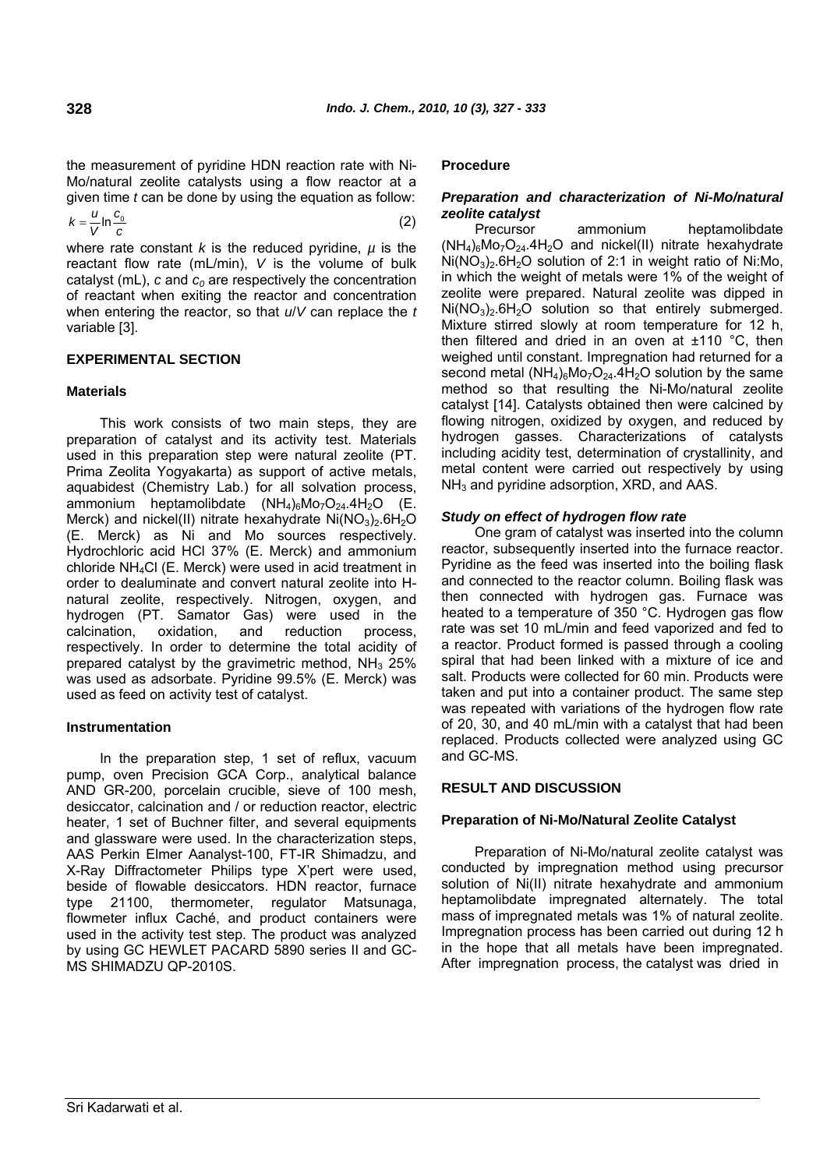the measurement of pyridine HDN reaction rate with Ni-Mo/natural zeolite catalysts using a flow reactor at a given time *t* can be done by using the equation as follow:

$$
k = \frac{u}{V} \ln \frac{c_0}{c} \tag{2}
$$

where rate constant  $k$  is the reduced pyridine,  $\mu$  is the reactant flow rate (mL/min), *V* is the volume of bulk catalyst ( $mL$ ), *c* and  $c<sub>0</sub>$  are respectively the concentration of reactant when exiting the reactor and concentration when entering the reactor, so that *u*/*V* can replace the *t* variable [3].

# **EXPERIMENTAL SECTION**

# **Materials**

This work consists of two main steps, they are preparation of catalyst and its activity test. Materials used in this preparation step were natural zeolite (PT. Prima Zeolita Yogyakarta) as support of active metals, aquabidest (Chemistry Lab.) for all solvation process, ammonium heptamolibdate  $(NH_4)_6M_0T_2Q_4.4H_2O$  (E. Merck) and nickel(II) nitrate hexahydrate  $Ni(NO<sub>3</sub>)<sub>2</sub>·6H<sub>2</sub>O$ (E. Merck) as Ni and Mo sources respectively. Hydrochloric acid HCl 37% (E. Merck) and ammonium chloride NH4Cl (E. Merck) were used in acid treatment in order to dealuminate and convert natural zeolite into Hnatural zeolite, respectively. Nitrogen, oxygen, and hydrogen (PT. Samator Gas) were used in the calcination, oxidation, and reduction process, respectively. In order to determine the total acidity of prepared catalyst by the gravimetric method,  $NH<sub>3</sub> 25%$ was used as adsorbate. Pyridine 99.5% (E. Merck) was used as feed on activity test of catalyst.

### **Instrumentation**

In the preparation step, 1 set of reflux, vacuum pump, oven Precision GCA Corp., analytical balance AND GR-200, porcelain crucible, sieve of 100 mesh, desiccator, calcination and / or reduction reactor, electric heater, 1 set of Buchner filter, and several equipments and glassware were used. In the characterization steps, AAS Perkin Elmer Aanalyst-100, FT-IR Shimadzu, and X-Ray Diffractometer Philips type X'pert were used, beside of flowable desiccators. HDN reactor, furnace type 21100, thermometer, regulator Matsunaga, flowmeter influx Caché, and product containers were used in the activity test step. The product was analyzed by using GC HEWLET PACARD 5890 series II and GC-MS SHIMADZU QP-2010S.

#### **Procedure**

## *Preparation and characterization of Ni-Mo/natural zeolite catalyst*

Precursor ammonium heptamolibdate  $(NH_4)_{6}Mo_{7}O_{24}.4H_{2}O$  and nickel(II) nitrate hexahydrate Ni(NO3)2.6H2O solution of 2:1 in weight ratio of Ni:Mo, in which the weight of metals were 1% of the weight of zeolite were prepared. Natural zeolite was dipped in  $Ni(NO<sub>3</sub>)<sub>2</sub>.6H<sub>2</sub>O$  solution so that entirely submerged. Mixture stirred slowly at room temperature for 12 h, then filtered and dried in an oven at ±110 °C, then weighed until constant. Impregnation had returned for a second metal  $(NH_4)_{6}Mo_7O_{24}.4H_2O$  solution by the same method so that resulting the Ni-Mo/natural zeolite catalyst [14]. Catalysts obtained then were calcined by flowing nitrogen, oxidized by oxygen, and reduced by hydrogen gasses. Characterizations of catalysts including acidity test, determination of crystallinity, and metal content were carried out respectively by using  $NH<sub>3</sub>$  and pyridine adsorption, XRD, and AAS.

### *Study on effect of hydrogen flow rate*

One gram of catalyst was inserted into the column reactor, subsequently inserted into the furnace reactor. Pyridine as the feed was inserted into the boiling flask and connected to the reactor column. Boiling flask was then connected with hydrogen gas. Furnace was heated to a temperature of 350 °C. Hydrogen gas flow rate was set 10 mL/min and feed vaporized and fed to a reactor. Product formed is passed through a cooling spiral that had been linked with a mixture of ice and salt. Products were collected for 60 min. Products were taken and put into a container product. The same step was repeated with variations of the hydrogen flow rate of 20, 30, and 40 mL/min with a catalyst that had been replaced. Products collected were analyzed using GC and GC-MS.

### **RESULT AND DISCUSSION**

### **Preparation of Ni-Mo/Natural Zeolite Catalyst**

Preparation of Ni-Mo/natural zeolite catalyst was conducted by impregnation method using precursor solution of Ni(II) nitrate hexahydrate and ammonium heptamolibdate impregnated alternately. The total mass of impregnated metals was 1% of natural zeolite. Impregnation process has been carried out during 12 h in the hope that all metals have been impregnated. After impregnation process, the catalyst was dried in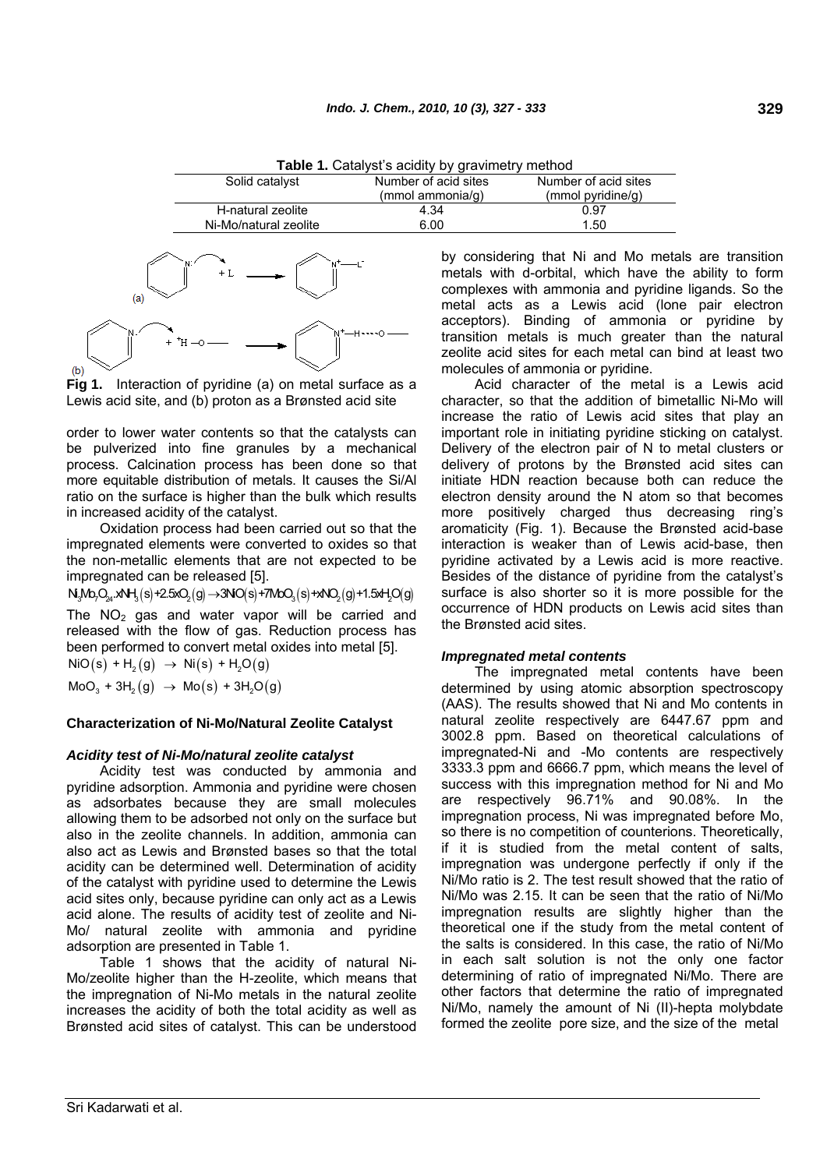|                       | <b>Table 1.</b> Catalyst's acidity by gravimetry method |                                                                                                               |  |  |  |  |
|-----------------------|---------------------------------------------------------|---------------------------------------------------------------------------------------------------------------|--|--|--|--|
| Solid catalyst        | Number of acid sites                                    | Number of acid sites                                                                                          |  |  |  |  |
|                       | (mmol ammonia/q)                                        | $(mmol$ pyridine/g)                                                                                           |  |  |  |  |
| H-natural zeolite     | 4.34                                                    | 0.97                                                                                                          |  |  |  |  |
| Ni-Mo/natural zeolite | 6.00                                                    | 1.50                                                                                                          |  |  |  |  |
| (a)                   |                                                         | by considering that Ni and Mo m<br>metals with d-orbital, which have<br>complexes with ammonia and pyrid<br>. |  |  |  |  |

**Table 1.** Catalyst's acidity by gravimetry method



order to lower water contents so that the catalysts can be pulverized into fine granules by a mechanical process. Calcination process has been done so that more equitable distribution of metals. It causes the Si/Al ratio on the surface is higher than the bulk which results in increased acidity of the catalyst.

Oxidation process had been carried out so that the impregnated elements were converted to oxides so that the non-metallic elements that are not expected to be impregnated can be released [5].

 $N_3N_2O_2$ ,  $xNH_3(s) + 2.5xO_2(g) \rightarrow 3NO(s) + 7N_2O_3(s) + xNO_2(g) + 1.5xH_2O(g)$ The  $NO<sub>2</sub>$  gas and water vapor will be carried and released with the flow of gas. Reduction process has been performed to convert metal oxides into metal [5].

 $NiO(s) + H<sub>2</sub>(g) \rightarrow Ni(s) + H<sub>2</sub>O(g)$ 

 $MoO<sub>3</sub> + 3H<sub>2</sub>(g) \rightarrow Mo(s) + 3H<sub>2</sub>O(g)$ 

# **Characterization of Ni-Mo/Natural Zeolite Catalyst**

### *Acidity test of Ni-Mo/natural zeolite catalyst*

Acidity test was conducted by ammonia and pyridine adsorption. Ammonia and pyridine were chosen as adsorbates because they are small molecules allowing them to be adsorbed not only on the surface but also in the zeolite channels. In addition, ammonia can also act as Lewis and Brønsted bases so that the total acidity can be determined well. Determination of acidity of the catalyst with pyridine used to determine the Lewis acid sites only, because pyridine can only act as a Lewis acid alone. The results of acidity test of zeolite and Ni-Mo/ natural zeolite with ammonia and pyridine adsorption are presented in Table 1.

Table 1 shows that the acidity of natural Ni-Mo/zeolite higher than the H-zeolite, which means that the impregnation of Ni-Mo metals in the natural zeolite increases the acidity of both the total acidity as well as Brønsted acid sites of catalyst. This can be understood

etals are transition the ability to form line ligands. So the metal acts as a Lewis acid (lone pair electron acceptors). Binding of ammonia or pyridine by transition metals is much greater than the natural zeolite acid sites for each metal can bind at least two molecules of ammonia or pyridine.

Acid character of the metal is a Lewis acid character, so that the addition of bimetallic Ni-Mo will increase the ratio of Lewis acid sites that play an important role in initiating pyridine sticking on catalyst. Delivery of the electron pair of N to metal clusters or delivery of protons by the Brønsted acid sites can initiate HDN reaction because both can reduce the electron density around the N atom so that becomes more positively charged thus decreasing ring's aromaticity (Fig. 1). Because the Brønsted acid-base interaction is weaker than of Lewis acid-base, then pyridine activated by a Lewis acid is more reactive. Besides of the distance of pyridine from the catalyst's surface is also shorter so it is more possible for the occurrence of HDN products on Lewis acid sites than the Brønsted acid sites.

### *Impregnated metal contents*

The impregnated metal contents have been determined by using atomic absorption spectroscopy (AAS). The results showed that Ni and Mo contents in natural zeolite respectively are 6447.67 ppm and 3002.8 ppm. Based on theoretical calculations of impregnated-Ni and -Mo contents are respectively 3333.3 ppm and 6666.7 ppm, which means the level of success with this impregnation method for Ni and Mo are respectively 96.71% and 90.08%. In the impregnation process, Ni was impregnated before Mo, so there is no competition of counterions. Theoretically, if it is studied from the metal content of salts, impregnation was undergone perfectly if only if the Ni/Mo ratio is 2. The test result showed that the ratio of Ni/Mo was 2.15. It can be seen that the ratio of Ni/Mo impregnation results are slightly higher than the theoretical one if the study from the metal content of the salts is considered. In this case, the ratio of Ni/Mo in each salt solution is not the only one factor determining of ratio of impregnated Ni/Mo. There are other factors that determine the ratio of impregnated Ni/Mo, namely the amount of Ni (II)-hepta molybdate formed the zeolite pore size, and the size of the metal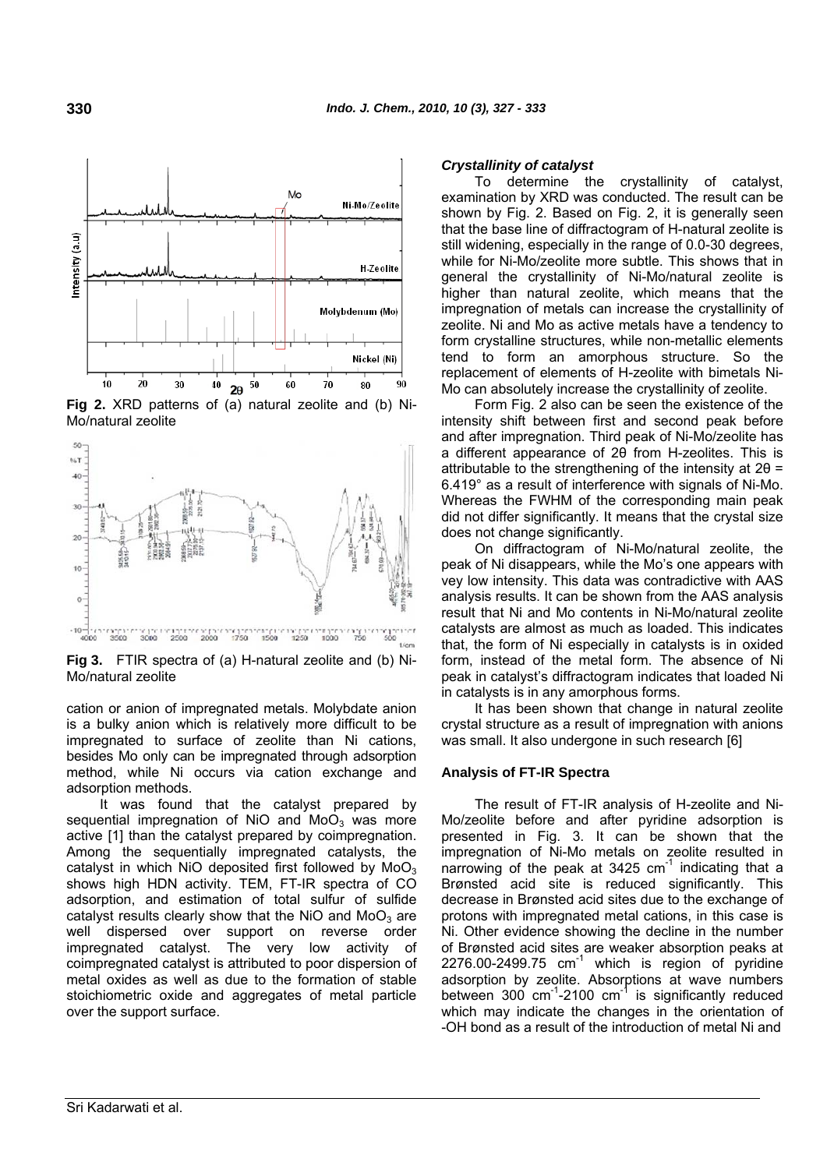

**Fig 2.** XRD patterns of (a) natural zeolite and (b) Ni-Mo/natural zeolite



**Fig 3.** FTIR spectra of (a) H-natural zeolite and (b) Ni-Mo/natural zeolite

cation or anion of impregnated metals. Molybdate anion is a bulky anion which is relatively more difficult to be impregnated to surface of zeolite than Ni cations, besides Mo only can be impregnated through adsorption method, while Ni occurs via cation exchange and adsorption methods.

It was found that the catalyst prepared by sequential impregnation of NiO and  $MoO<sub>3</sub>$  was more active [1] than the catalyst prepared by coimpregnation. Among the sequentially impregnated catalysts, the catalyst in which NiO deposited first followed by  $MoO<sub>3</sub>$ shows high HDN activity. TEM, FT-IR spectra of CO adsorption, and estimation of total sulfur of sulfide catalyst results clearly show that the NiO and  $MoO<sub>3</sub>$  are well dispersed over support on reverse order impregnated catalyst. The very low activity of coimpregnated catalyst is attributed to poor dispersion of metal oxides as well as due to the formation of stable stoichiometric oxide and aggregates of metal particle over the support surface.

#### *Crystallinity of catalyst*

To determine the crystallinity of catalyst, examination by XRD was conducted. The result can be shown by Fig. 2. Based on Fig. 2, it is generally seen that the base line of diffractogram of H-natural zeolite is still widening, especially in the range of 0.0-30 degrees, while for Ni-Mo/zeolite more subtle. This shows that in general the crystallinity of Ni-Mo/natural zeolite is higher than natural zeolite, which means that the impregnation of metals can increase the crystallinity of zeolite. Ni and Mo as active metals have a tendency to form crystalline structures, while non-metallic elements tend to form an amorphous structure. So the replacement of elements of H-zeolite with bimetals Ni-Mo can absolutely increase the crystallinity of zeolite.

Form Fig. 2 also can be seen the existence of the intensity shift between first and second peak before and after impregnation. Third peak of Ni-Mo/zeolite has a different appearance of 2θ from H-zeolites. This is attributable to the strengthening of the intensity at  $2\theta =$ 6.419° as a result of interference with signals of Ni-Mo. Whereas the FWHM of the corresponding main peak did not differ significantly. It means that the crystal size does not change significantly.

On diffractogram of Ni-Mo/natural zeolite, the peak of Ni disappears, while the Mo's one appears with vey low intensity. This data was contradictive with AAS analysis results. It can be shown from the AAS analysis result that Ni and Mo contents in Ni-Mo/natural zeolite catalysts are almost as much as loaded. This indicates that, the form of Ni especially in catalysts is in oxided form, instead of the metal form. The absence of Ni peak in catalyst's diffractogram indicates that loaded Ni in catalysts is in any amorphous forms.

It has been shown that change in natural zeolite crystal structure as a result of impregnation with anions was small. It also undergone in such research [6]

#### **Analysis of FT-IR Spectra**

The result of FT-IR analysis of H-zeolite and Ni-Mo/zeolite before and after pyridine adsorption is presented in Fig. 3. It can be shown that the impregnation of Ni-Mo metals on zeolite resulted in narrowing of the peak at  $3425$  cm<sup>-1</sup> indicating that a Brønsted acid site is reduced significantly. This decrease in Brønsted acid sites due to the exchange of protons with impregnated metal cations, in this case is Ni. Other evidence showing the decline in the number of Brønsted acid sites are weaker absorption peaks at  $2276.00 - 2499.75$  cm<sup>-1</sup> which is region of pyridine adsorption by zeolite. Absorptions at wave numbers between 300  $cm^{-1}$ -2100  $cm^{-1}$  is significantly reduced which may indicate the changes in the orientation of -OH bond as a result of the introduction of metal Ni and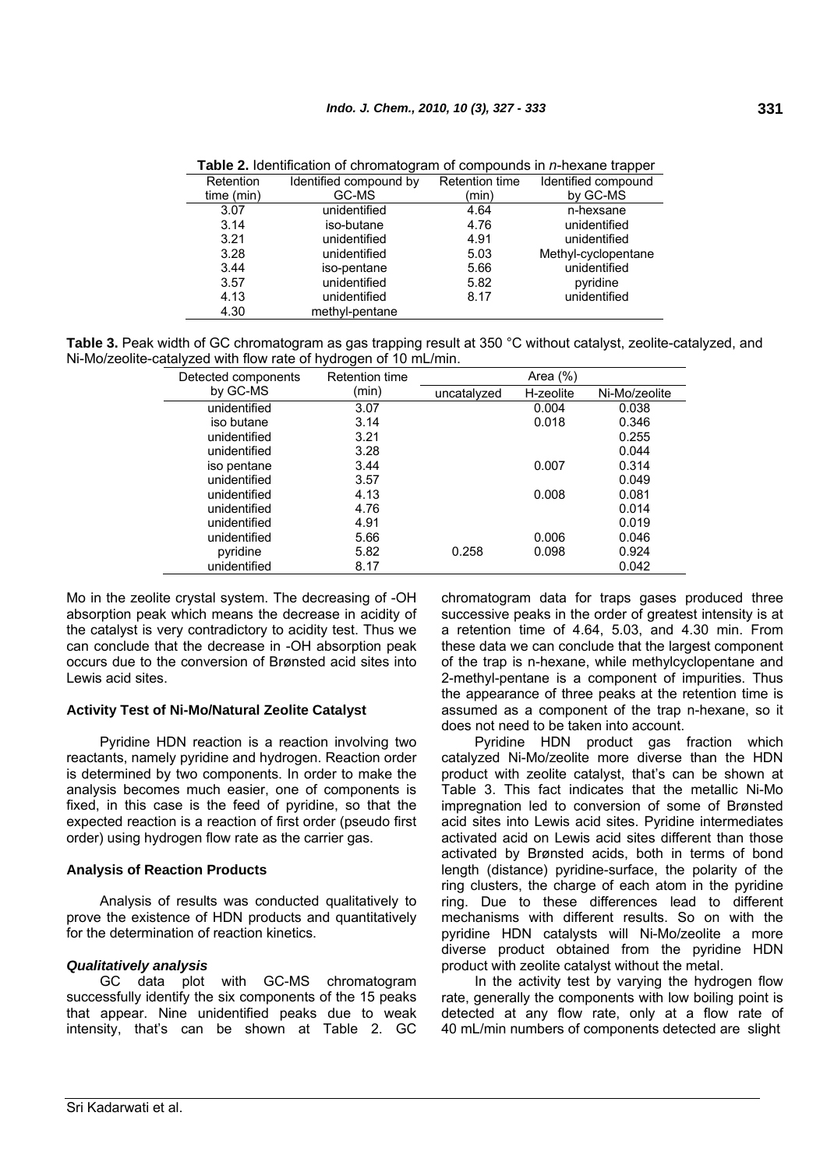| $-$ 0.000 $-$ 0.000 $-$ 0.000 $-$ 0.000 $-$ 0.000 $-$ 0.000 $-$ 0.000 $-$ 0.000 $-$ |                        |                |                     |  |  |
|-------------------------------------------------------------------------------------|------------------------|----------------|---------------------|--|--|
| Retention                                                                           | Identified compound by | Retention time | Identified compound |  |  |
| time (min)                                                                          | GC-MS                  | (min)          | by GC-MS            |  |  |
| 3.07                                                                                | unidentified           | 4.64           | n-hexsane           |  |  |
| 3.14                                                                                | iso-butane             | 4.76           | unidentified        |  |  |
| 3.21                                                                                | unidentified           | 4.91           | unidentified        |  |  |
| 3.28                                                                                | unidentified           | 5.03           | Methyl-cyclopentane |  |  |
| 3.44                                                                                | iso-pentane            | 5.66           | unidentified        |  |  |
| 3.57                                                                                | unidentified           | 5.82           | pyridine            |  |  |
| 4.13                                                                                | unidentified           | 8.17           | unidentified        |  |  |
| 4.30                                                                                | methyl-pentane         |                |                     |  |  |

**Table 2.** Identification of chromatogram of compounds in *n*-hexane trapper

**Table 3.** Peak width of GC chromatogram as gas trapping result at 350 °C without catalyst, zeolite-catalyzed, and Ni-Mo/zeolite-catalyzed with flow rate of hydrogen of 10 mL/min.

| Detected components | <b>Retention time</b> | Area $(\%)$ |           |               |
|---------------------|-----------------------|-------------|-----------|---------------|
| by GC-MS            | (min)                 | uncatalyzed | H-zeolite | Ni-Mo/zeolite |
| unidentified        | 3.07                  |             | 0.004     | 0.038         |
| iso butane          | 3.14                  |             | 0.018     | 0.346         |
| unidentified        | 3.21                  |             |           | 0.255         |
| unidentified        | 3.28                  |             |           | 0.044         |
| iso pentane         | 3.44                  |             | 0.007     | 0.314         |
| unidentified        | 3.57                  |             |           | 0.049         |
| unidentified        | 4.13                  |             | 0.008     | 0.081         |
| unidentified        | 4.76                  |             |           | 0.014         |
| unidentified        | 4.91                  |             |           | 0.019         |
| unidentified        | 5.66                  |             | 0.006     | 0.046         |
| pyridine            | 5.82                  | 0.258       | 0.098     | 0.924         |
| unidentified        | 8.17                  |             |           | 0.042         |

Mo in the zeolite crystal system. The decreasing of -OH absorption peak which means the decrease in acidity of the catalyst is very contradictory to acidity test. Thus we can conclude that the decrease in -OH absorption peak occurs due to the conversion of Brønsted acid sites into Lewis acid sites.

### **Activity Test of Ni-Mo/Natural Zeolite Catalyst**

Pyridine HDN reaction is a reaction involving two reactants, namely pyridine and hydrogen. Reaction order is determined by two components. In order to make the analysis becomes much easier, one of components is fixed, in this case is the feed of pyridine, so that the expected reaction is a reaction of first order (pseudo first order) using hydrogen flow rate as the carrier gas.

### **Analysis of Reaction Products**

Analysis of results was conducted qualitatively to prove the existence of HDN products and quantitatively for the determination of reaction kinetics.

#### *Qualitatively analysis*

GC data plot with GC-MS chromatogram successfully identify the six components of the 15 peaks that appear. Nine unidentified peaks due to weak intensity, that's can be shown at Table 2. GC chromatogram data for traps gases produced three successive peaks in the order of greatest intensity is at a retention time of 4.64, 5.03, and 4.30 min. From these data we can conclude that the largest component of the trap is n-hexane, while methylcyclopentane and 2-methyl-pentane is a component of impurities. Thus the appearance of three peaks at the retention time is assumed as a component of the trap n-hexane, so it does not need to be taken into account.

Pyridine HDN product gas fraction which catalyzed Ni-Mo/zeolite more diverse than the HDN product with zeolite catalyst, that's can be shown at Table 3. This fact indicates that the metallic Ni-Mo impregnation led to conversion of some of Brønsted acid sites into Lewis acid sites. Pyridine intermediates activated acid on Lewis acid sites different than those activated by Brønsted acids, both in terms of bond length (distance) pyridine-surface, the polarity of the ring clusters, the charge of each atom in the pyridine ring. Due to these differences lead to different mechanisms with different results. So on with the pyridine HDN catalysts will Ni-Mo/zeolite a more diverse product obtained from the pyridine HDN product with zeolite catalyst without the metal.

In the activity test by varying the hydrogen flow rate, generally the components with low boiling point is detected at any flow rate, only at a flow rate of 40 mL/min numbers of components detected are slight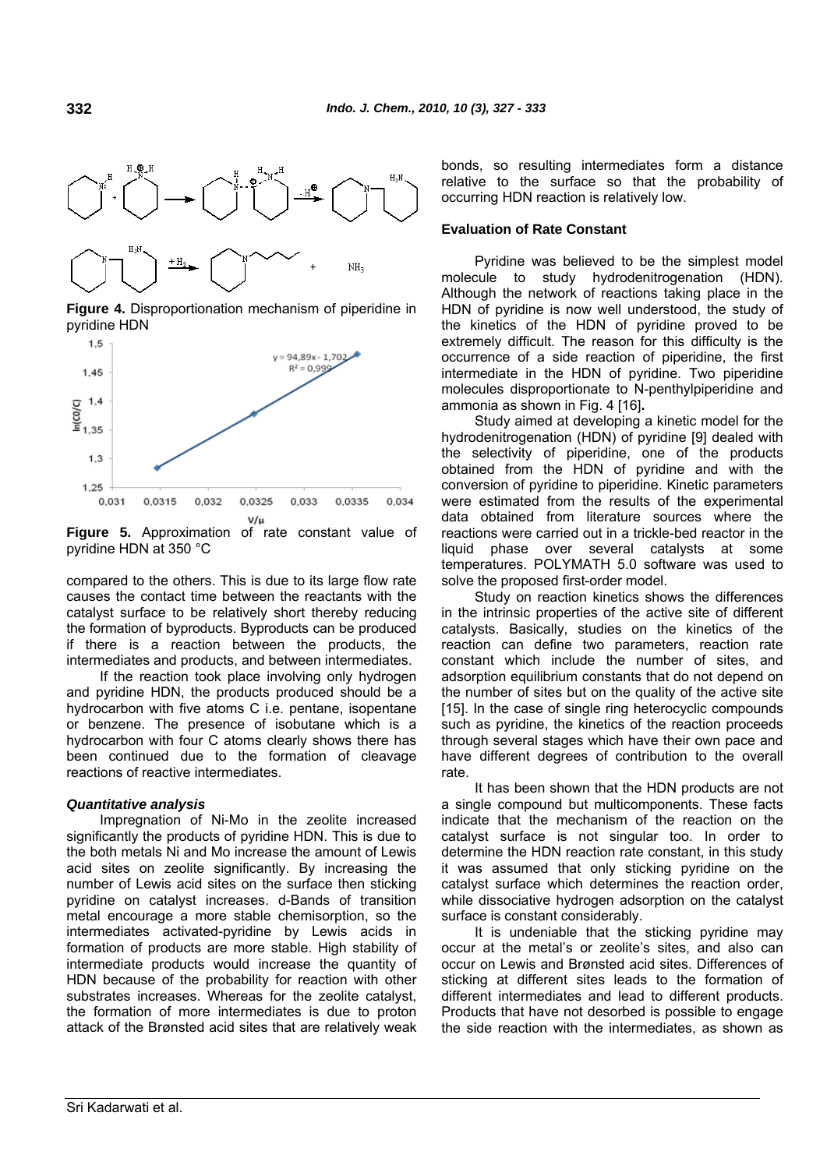

**Figure 4.** Disproportionation mechanism of piperidine in pyridine HDN



**Figure 5.** Approximation of rate constant value of pyridine HDN at 350 °C

compared to the others. This is due to its large flow rate causes the contact time between the reactants with the catalyst surface to be relatively short thereby reducing the formation of byproducts. Byproducts can be produced if there is a reaction between the products, the intermediates and products, and between intermediates.

If the reaction took place involving only hydrogen and pyridine HDN, the products produced should be a hydrocarbon with five atoms C i.e. pentane, isopentane or benzene. The presence of isobutane which is a hydrocarbon with four C atoms clearly shows there has been continued due to the formation of cleavage reactions of reactive intermediates.

#### *Quantitative analysis*

Impregnation of Ni-Mo in the zeolite increased significantly the products of pyridine HDN. This is due to the both metals Ni and Mo increase the amount of Lewis acid sites on zeolite significantly. By increasing the number of Lewis acid sites on the surface then sticking pyridine on catalyst increases. d-Bands of transition metal encourage a more stable chemisorption, so the intermediates activated-pyridine by Lewis acids in formation of products are more stable. High stability of intermediate products would increase the quantity of HDN because of the probability for reaction with other substrates increases. Whereas for the zeolite catalyst, the formation of more intermediates is due to proton attack of the Brønsted acid sites that are relatively weak

bonds, so resulting intermediates form a distance relative to the surface so that the probability of occurring HDN reaction is relatively low.

#### **Evaluation of Rate Constant**

Pyridine was believed to be the simplest model molecule to study hydrodenitrogenation (HDN). Although the network of reactions taking place in the HDN of pyridine is now well understood, the study of the kinetics of the HDN of pyridine proved to be extremely difficult. The reason for this difficulty is the occurrence of a side reaction of piperidine, the first intermediate in the HDN of pyridine. Two piperidine molecules disproportionate to N-penthylpiperidine and ammonia as shown in Fig. 4 [16]**.**

Study aimed at developing a kinetic model for the hydrodenitrogenation (HDN) of pyridine [9] dealed with the selectivity of piperidine, one of the products obtained from the HDN of pyridine and with the conversion of pyridine to piperidine. Kinetic parameters were estimated from the results of the experimental data obtained from literature sources where the reactions were carried out in a trickle-bed reactor in the liquid phase over several catalysts at some temperatures. POLYMATH 5.0 software was used to solve the proposed first-order model.

Study on reaction kinetics shows the differences in the intrinsic properties of the active site of different catalysts. Basically, studies on the kinetics of the reaction can define two parameters, reaction rate constant which include the number of sites, and adsorption equilibrium constants that do not depend on the number of sites but on the quality of the active site [15]. In the case of single ring heterocyclic compounds such as pyridine, the kinetics of the reaction proceeds through several stages which have their own pace and have different degrees of contribution to the overall rate.

It has been shown that the HDN products are not a single compound but multicomponents. These facts indicate that the mechanism of the reaction on the catalyst surface is not singular too. In order to determine the HDN reaction rate constant, in this study it was assumed that only sticking pyridine on the catalyst surface which determines the reaction order, while dissociative hydrogen adsorption on the catalyst surface is constant considerably.

It is undeniable that the sticking pyridine may occur at the metal's or zeolite's sites, and also can occur on Lewis and Brønsted acid sites. Differences of sticking at different sites leads to the formation of different intermediates and lead to different products. Products that have not desorbed is possible to engage the side reaction with the intermediates, as shown as